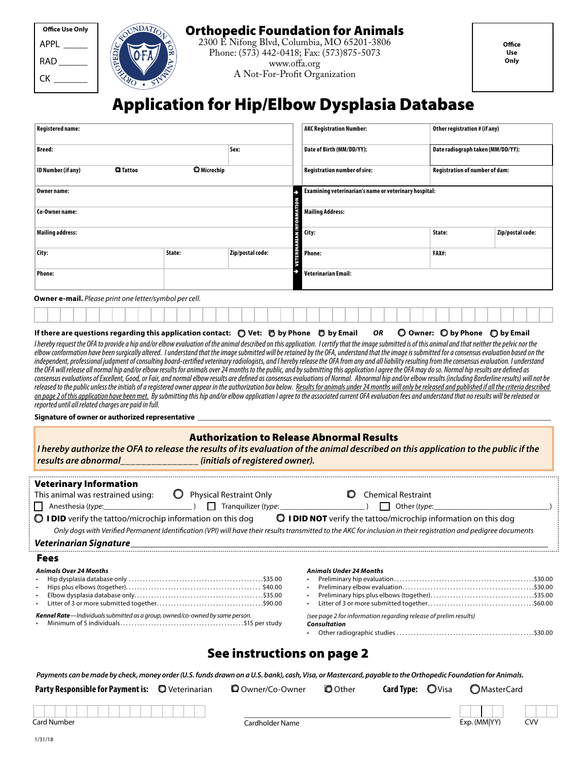Orthopedic Foundation for Animals

2300 E Nifong Blvd, Columbia, MO 65201-3806 Phone: (573) 442-0418; Fax: (573)875-5073 www.offa.org A Not-For-Profit Organization

# Application for Hip/Elbow Dysplasia Database

| <b>Breed:</b><br>Sex:<br>C Microchip<br><b>Q</b> Tattoo<br>ID Number (if any)<br>Owner name:<br>Co-Owner name:<br><b>Mailing address:</b><br>VETERIN<br>Zip/postal code:<br>City:<br>State:<br><b>Phone:</b><br>Owner e-mail. Please print one letter/symbol per cell.<br>If there are questions regarding this application contact: $\bigcirc$ Vet: $\bigcirc$ by Phone $\bigcirc$ by Email<br>I hereby request the OFA to provide a hip and/or elbow evaluation of the animal described on this application. I certify that the image submitted is of this animal and that neither the pelvic nor the<br>elbow conformation have been surgically altered. I understand that the image submitted will be retained by the OFA, understand that the image is submitted for a consensus evaluation based on the<br>independent, professional judgment of consulting board-certified veterinary radiologists, and I hereby release the OFA from any and all liability resulting from the consensus evaluation. I understand<br>the OFA will release all normal hip and/or elbow results for animals over 24 months to the public, and by submitting this application I agree the OFA may do so. Normal hip results are defined as<br>consensus evaluations of Excellent, Good, or Fair, and normal elbow results are defined as consensus evaluations of Normal. Abnormal hip and/or elbow results (including Borderline results) will not be<br>released to the public unless the initials of a registered owner appear in the authorization box below. Results for animals under 24 months will only be released and published if all the criteria described<br>on page 2 of this application have been met. By submitting this hip and/or elbow application I agree to the associated current OFA evaluation fees and understand that no results will be released or<br>reported until all related charges are paid in full.<br>Signature of owner or authorized representative ________________<br><b>Authorization to Release Abnormal Results</b><br>I hereby authorize the OFA to release the results of its evaluation of the animal described on this application to the public if the<br>results are abnormal ______________ (initials of registered owner). | Date radiograph taken (MM/DD/YY):<br>Date of Birth (MM/DD/YY):<br>Registration of number of dam:<br><b>Registration number of sire:</b><br>Examining veterinarian's name or veterinary hospital:<br><b>Mailing Address:</b><br>City:<br>State:<br>Zip/postal code:<br><b>Phone:</b><br>FAX#:<br>Veterinarian Email:<br>OR<br>$\bigcirc$ Owner: $\bigcirc$ by Phone $\bigcirc$ by Email |
|---------------------------------------------------------------------------------------------------------------------------------------------------------------------------------------------------------------------------------------------------------------------------------------------------------------------------------------------------------------------------------------------------------------------------------------------------------------------------------------------------------------------------------------------------------------------------------------------------------------------------------------------------------------------------------------------------------------------------------------------------------------------------------------------------------------------------------------------------------------------------------------------------------------------------------------------------------------------------------------------------------------------------------------------------------------------------------------------------------------------------------------------------------------------------------------------------------------------------------------------------------------------------------------------------------------------------------------------------------------------------------------------------------------------------------------------------------------------------------------------------------------------------------------------------------------------------------------------------------------------------------------------------------------------------------------------------------------------------------------------------------------------------------------------------------------------------------------------------------------------------------------------------------------------------------------------------------------------------------------------------------------------------------------------------------------------------------------------------------------------------------------------------------------------------------------------------------------------------------------------------------------------|----------------------------------------------------------------------------------------------------------------------------------------------------------------------------------------------------------------------------------------------------------------------------------------------------------------------------------------------------------------------------------------|
|                                                                                                                                                                                                                                                                                                                                                                                                                                                                                                                                                                                                                                                                                                                                                                                                                                                                                                                                                                                                                                                                                                                                                                                                                                                                                                                                                                                                                                                                                                                                                                                                                                                                                                                                                                                                                                                                                                                                                                                                                                                                                                                                                                                                                                                                     |                                                                                                                                                                                                                                                                                                                                                                                        |
|                                                                                                                                                                                                                                                                                                                                                                                                                                                                                                                                                                                                                                                                                                                                                                                                                                                                                                                                                                                                                                                                                                                                                                                                                                                                                                                                                                                                                                                                                                                                                                                                                                                                                                                                                                                                                                                                                                                                                                                                                                                                                                                                                                                                                                                                     |                                                                                                                                                                                                                                                                                                                                                                                        |
|                                                                                                                                                                                                                                                                                                                                                                                                                                                                                                                                                                                                                                                                                                                                                                                                                                                                                                                                                                                                                                                                                                                                                                                                                                                                                                                                                                                                                                                                                                                                                                                                                                                                                                                                                                                                                                                                                                                                                                                                                                                                                                                                                                                                                                                                     |                                                                                                                                                                                                                                                                                                                                                                                        |
|                                                                                                                                                                                                                                                                                                                                                                                                                                                                                                                                                                                                                                                                                                                                                                                                                                                                                                                                                                                                                                                                                                                                                                                                                                                                                                                                                                                                                                                                                                                                                                                                                                                                                                                                                                                                                                                                                                                                                                                                                                                                                                                                                                                                                                                                     |                                                                                                                                                                                                                                                                                                                                                                                        |
|                                                                                                                                                                                                                                                                                                                                                                                                                                                                                                                                                                                                                                                                                                                                                                                                                                                                                                                                                                                                                                                                                                                                                                                                                                                                                                                                                                                                                                                                                                                                                                                                                                                                                                                                                                                                                                                                                                                                                                                                                                                                                                                                                                                                                                                                     |                                                                                                                                                                                                                                                                                                                                                                                        |
|                                                                                                                                                                                                                                                                                                                                                                                                                                                                                                                                                                                                                                                                                                                                                                                                                                                                                                                                                                                                                                                                                                                                                                                                                                                                                                                                                                                                                                                                                                                                                                                                                                                                                                                                                                                                                                                                                                                                                                                                                                                                                                                                                                                                                                                                     |                                                                                                                                                                                                                                                                                                                                                                                        |
|                                                                                                                                                                                                                                                                                                                                                                                                                                                                                                                                                                                                                                                                                                                                                                                                                                                                                                                                                                                                                                                                                                                                                                                                                                                                                                                                                                                                                                                                                                                                                                                                                                                                                                                                                                                                                                                                                                                                                                                                                                                                                                                                                                                                                                                                     |                                                                                                                                                                                                                                                                                                                                                                                        |
|                                                                                                                                                                                                                                                                                                                                                                                                                                                                                                                                                                                                                                                                                                                                                                                                                                                                                                                                                                                                                                                                                                                                                                                                                                                                                                                                                                                                                                                                                                                                                                                                                                                                                                                                                                                                                                                                                                                                                                                                                                                                                                                                                                                                                                                                     |                                                                                                                                                                                                                                                                                                                                                                                        |
|                                                                                                                                                                                                                                                                                                                                                                                                                                                                                                                                                                                                                                                                                                                                                                                                                                                                                                                                                                                                                                                                                                                                                                                                                                                                                                                                                                                                                                                                                                                                                                                                                                                                                                                                                                                                                                                                                                                                                                                                                                                                                                                                                                                                                                                                     |                                                                                                                                                                                                                                                                                                                                                                                        |
|                                                                                                                                                                                                                                                                                                                                                                                                                                                                                                                                                                                                                                                                                                                                                                                                                                                                                                                                                                                                                                                                                                                                                                                                                                                                                                                                                                                                                                                                                                                                                                                                                                                                                                                                                                                                                                                                                                                                                                                                                                                                                                                                                                                                                                                                     |                                                                                                                                                                                                                                                                                                                                                                                        |
|                                                                                                                                                                                                                                                                                                                                                                                                                                                                                                                                                                                                                                                                                                                                                                                                                                                                                                                                                                                                                                                                                                                                                                                                                                                                                                                                                                                                                                                                                                                                                                                                                                                                                                                                                                                                                                                                                                                                                                                                                                                                                                                                                                                                                                                                     |                                                                                                                                                                                                                                                                                                                                                                                        |
| <b>Veterinary Information</b><br>$\bigcirc$ Physical Restraint Only<br>This animal was restrained using:                                                                                                                                                                                                                                                                                                                                                                                                                                                                                                                                                                                                                                                                                                                                                                                                                                                                                                                                                                                                                                                                                                                                                                                                                                                                                                                                                                                                                                                                                                                                                                                                                                                                                                                                                                                                                                                                                                                                                                                                                                                                                                                                                            | C Chemical Restraint                                                                                                                                                                                                                                                                                                                                                                   |
| $\bigcirc$ I DID verify the tattoo/microchip information on this dog<br>Only dogs with Verified Permanent Identification (VPI) will have their results transmitted to the AKC for inclusion in their registration and pedigree documents                                                                                                                                                                                                                                                                                                                                                                                                                                                                                                                                                                                                                                                                                                                                                                                                                                                                                                                                                                                                                                                                                                                                                                                                                                                                                                                                                                                                                                                                                                                                                                                                                                                                                                                                                                                                                                                                                                                                                                                                                            | $\bigcirc$ I DID NOT verify the tattoo/microchip information on this dog                                                                                                                                                                                                                                                                                                               |
| Veterinarian Signature                                                                                                                                                                                                                                                                                                                                                                                                                                                                                                                                                                                                                                                                                                                                                                                                                                                                                                                                                                                                                                                                                                                                                                                                                                                                                                                                                                                                                                                                                                                                                                                                                                                                                                                                                                                                                                                                                                                                                                                                                                                                                                                                                                                                                                              |                                                                                                                                                                                                                                                                                                                                                                                        |
| Fees                                                                                                                                                                                                                                                                                                                                                                                                                                                                                                                                                                                                                                                                                                                                                                                                                                                                                                                                                                                                                                                                                                                                                                                                                                                                                                                                                                                                                                                                                                                                                                                                                                                                                                                                                                                                                                                                                                                                                                                                                                                                                                                                                                                                                                                                |                                                                                                                                                                                                                                                                                                                                                                                        |
| <b>Animals Over 24 Months</b><br>Kennel Rate-Individuals submitted as a group, owned/co-owned by same person.                                                                                                                                                                                                                                                                                                                                                                                                                                                                                                                                                                                                                                                                                                                                                                                                                                                                                                                                                                                                                                                                                                                                                                                                                                                                                                                                                                                                                                                                                                                                                                                                                                                                                                                                                                                                                                                                                                                                                                                                                                                                                                                                                       | <b>Animals Under 24 Months</b><br>$\bullet$                                                                                                                                                                                                                                                                                                                                            |
|                                                                                                                                                                                                                                                                                                                                                                                                                                                                                                                                                                                                                                                                                                                                                                                                                                                                                                                                                                                                                                                                                                                                                                                                                                                                                                                                                                                                                                                                                                                                                                                                                                                                                                                                                                                                                                                                                                                                                                                                                                                                                                                                                                                                                                                                     | (see page 2 for information regarding release of prelim results)<br>Consultation                                                                                                                                                                                                                                                                                                       |

\_\_\_\_\_\_\_\_\_\_\_\_\_\_\_\_\_\_\_\_\_\_\_\_\_\_\_\_\_\_\_\_\_\_\_\_\_\_\_\_\_\_\_\_\_\_\_\_\_\_\_\_\_\_\_\_

**Card Type: OVisa OMasterCard** 

| $C$ ard Nh | $\sim$ |  |  |  |  |  |  |
|------------|--------|--|--|--|--|--|--|

APPL \_\_\_\_\_  $RAD$ CK \_\_\_\_\_\_\_

**Office Use Only**

NDATION

 $v_{\rm O}$ 

Cardholder Name

Exp. (MM|YY) CVV